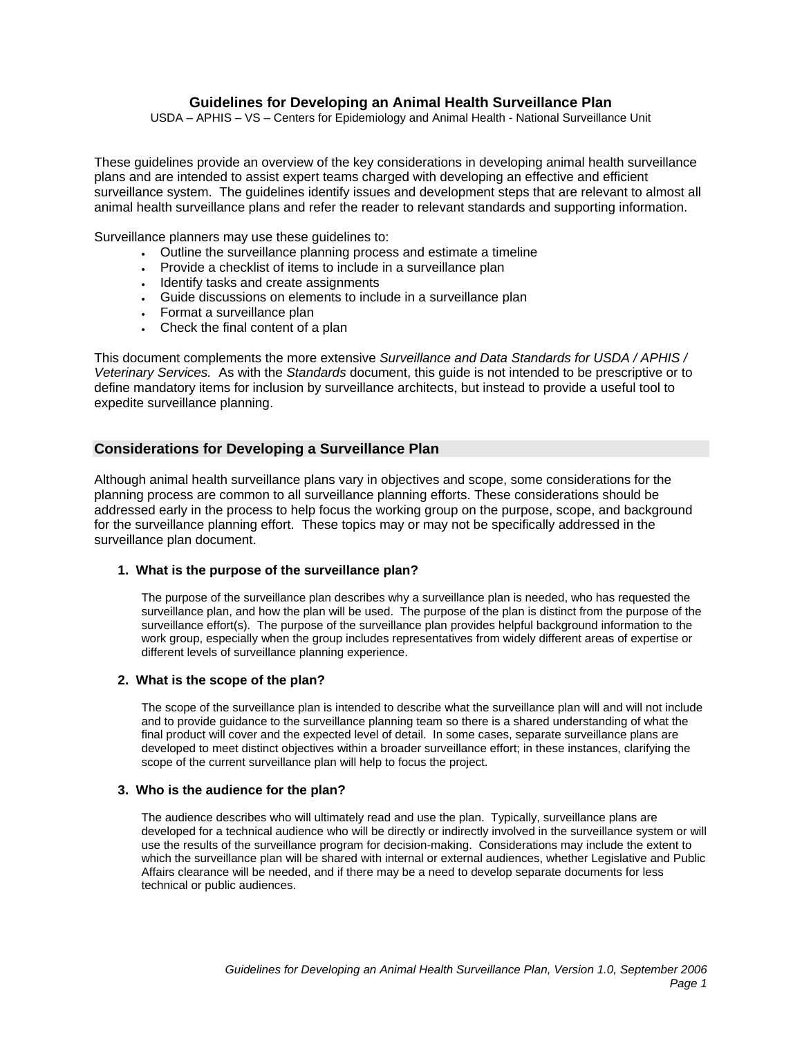# **Guidelines for Developing an Animal Health Surveillance Plan**

USDA – APHIS – VS – Centers for Epidemiology and Animal Health - National Surveillance Unit

These guidelines provide an overview of the key considerations in developing animal health surveillance plans and are intended to assist expert teams charged with developing an effective and efficient surveillance system. The guidelines identify issues and development steps that are relevant to almost all animal health surveillance plans and refer the reader to relevant standards and supporting information.

Surveillance planners may use these guidelines to:

- Outline the surveillance planning process and estimate a timeline
- Provide a checklist of items to include in a surveillance plan
- Identify tasks and create assignments
- Guide discussions on elements to include in a surveillance plan
- Format a surveillance plan
- Check the final content of a plan

This document complements the more extensive *Surveillance and Data Standards for USDA / APHIS / Veterinary Services.* As with the *Standards* document, this guide is not intended to be prescriptive or to define mandatory items for inclusion by surveillance architects, but instead to provide a useful tool to expedite surveillance planning.

# **Considerations for Developing a Surveillance Plan**

Although animal health surveillance plans vary in objectives and scope, some considerations for the planning process are common to all surveillance planning efforts. These considerations should be addressed early in the process to help focus the working group on the purpose, scope, and background for the surveillance planning effort. These topics may or may not be specifically addressed in the surveillance plan document.

### **1. What is the purpose of the surveillance plan?**

The purpose of the surveillance plan describes why a surveillance plan is needed, who has requested the surveillance plan, and how the plan will be used. The purpose of the plan is distinct from the purpose of the surveillance effort(s). The purpose of the surveillance plan provides helpful background information to the work group, especially when the group includes representatives from widely different areas of expertise or different levels of surveillance planning experience.

## **2. What is the scope of the plan?**

The scope of the surveillance plan is intended to describe what the surveillance plan will and will not include and to provide guidance to the surveillance planning team so there is a shared understanding of what the final product will cover and the expected level of detail. In some cases, separate surveillance plans are developed to meet distinct objectives within a broader surveillance effort; in these instances, clarifying the scope of the current surveillance plan will help to focus the project.

### **3. Who is the audience for the plan?**

The audience describes who will ultimately read and use the plan. Typically, surveillance plans are developed for a technical audience who will be directly or indirectly involved in the surveillance system or will use the results of the surveillance program for decision-making. Considerations may include the extent to which the surveillance plan will be shared with internal or external audiences, whether Legislative and Public Affairs clearance will be needed, and if there may be a need to develop separate documents for less technical or public audiences.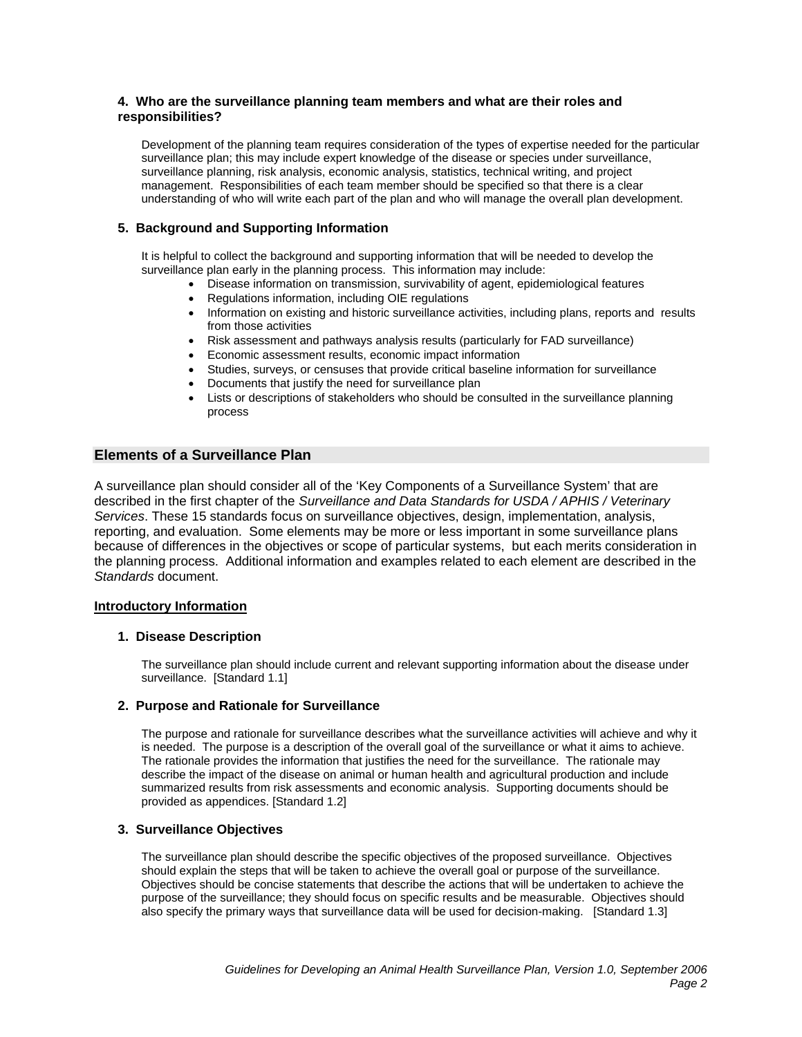# **4. Who are the surveillance planning team members and what are their roles and responsibilities?**

Development of the planning team requires consideration of the types of expertise needed for the particular surveillance plan; this may include expert knowledge of the disease or species under surveillance, surveillance planning, risk analysis, economic analysis, statistics, technical writing, and project management. Responsibilities of each team member should be specified so that there is a clear understanding of who will write each part of the plan and who will manage the overall plan development.

# **5. Background and Supporting Information**

It is helpful to collect the background and supporting information that will be needed to develop the surveillance plan early in the planning process. This information may include:

- Disease information on transmission, survivability of agent, epidemiological features
- Regulations information, including OIE regulations
- Information on existing and historic surveillance activities, including plans, reports and results from those activities
- Risk assessment and pathways analysis results (particularly for FAD surveillance)
- Economic assessment results, economic impact information
- Studies, surveys, or censuses that provide critical baseline information for surveillance
- Documents that justify the need for surveillance plan
- Lists or descriptions of stakeholders who should be consulted in the surveillance planning process

# **Elements of a Surveillance Plan**

A surveillance plan should consider all of the 'Key Components of a Surveillance System' that are described in the first chapter of the *Surveillance and Data Standards for USDA / APHIS / Veterinary Services*. These 15 standards focus on surveillance objectives, design, implementation, analysis, reporting, and evaluation. Some elements may be more or less important in some surveillance plans because of differences in the objectives or scope of particular systems, but each merits consideration in the planning process. Additional information and examples related to each element are described in the *Standards* document.

### **Introductory Information**

## **1. Disease Description**

The surveillance plan should include current and relevant supporting information about the disease under surveillance. [Standard 1.1]

## **2. Purpose and Rationale for Surveillance**

The purpose and rationale for surveillance describes what the surveillance activities will achieve and why it is needed. The purpose is a description of the overall goal of the surveillance or what it aims to achieve. The rationale provides the information that justifies the need for the surveillance. The rationale may describe the impact of the disease on animal or human health and agricultural production and include summarized results from risk assessments and economic analysis. Supporting documents should be provided as appendices. [Standard 1.2]

## **3. Surveillance Objectives**

The surveillance plan should describe the specific objectives of the proposed surveillance. Objectives should explain the steps that will be taken to achieve the overall goal or purpose of the surveillance. Objectives should be concise statements that describe the actions that will be undertaken to achieve the purpose of the surveillance; they should focus on specific results and be measurable. Objectives should also specify the primary ways that surveillance data will be used for decision-making. [Standard 1.3]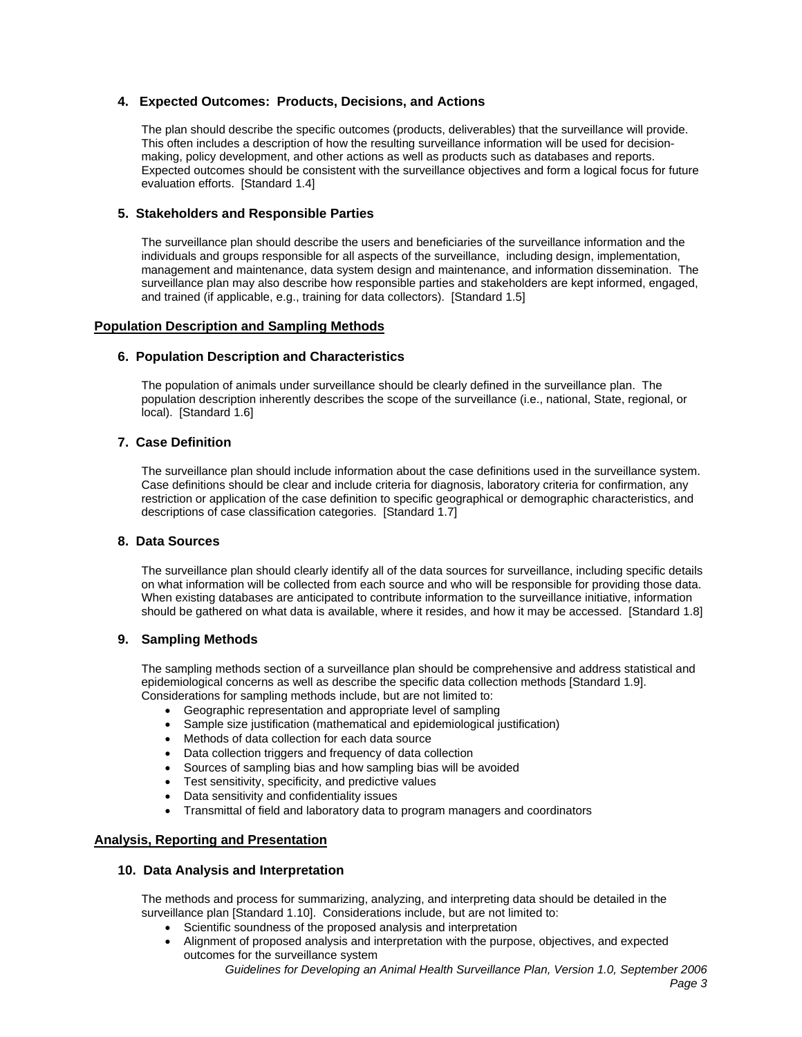# **4. Expected Outcomes: Products, Decisions, and Actions**

The plan should describe the specific outcomes (products, deliverables) that the surveillance will provide. This often includes a description of how the resulting surveillance information will be used for decisionmaking, policy development, and other actions as well as products such as databases and reports. Expected outcomes should be consistent with the surveillance objectives and form a logical focus for future evaluation efforts. [Standard 1.4]

## **5. Stakeholders and Responsible Parties**

The surveillance plan should describe the users and beneficiaries of the surveillance information and the individuals and groups responsible for all aspects of the surveillance, including design, implementation, management and maintenance, data system design and maintenance, and information dissemination. The surveillance plan may also describe how responsible parties and stakeholders are kept informed, engaged, and trained (if applicable, e.g., training for data collectors). [Standard 1.5]

### **Population Description and Sampling Methods**

## **6. Population Description and Characteristics**

The population of animals under surveillance should be clearly defined in the surveillance plan. The population description inherently describes the scope of the surveillance (i.e., national, State, regional, or local). [Standard 1.6]

## **7. Case Definition**

The surveillance plan should include information about the case definitions used in the surveillance system. Case definitions should be clear and include criteria for diagnosis, laboratory criteria for confirmation, any restriction or application of the case definition to specific geographical or demographic characteristics, and descriptions of case classification categories. [Standard 1.7]

### **8. Data Sources**

The surveillance plan should clearly identify all of the data sources for surveillance, including specific details on what information will be collected from each source and who will be responsible for providing those data. When existing databases are anticipated to contribute information to the surveillance initiative, information should be gathered on what data is available, where it resides, and how it may be accessed. [Standard 1.8]

## **9. Sampling Methods**

The sampling methods section of a surveillance plan should be comprehensive and address statistical and epidemiological concerns as well as describe the specific data collection methods [Standard 1.9]. Considerations for sampling methods include, but are not limited to:

- Geographic representation and appropriate level of sampling
- Sample size justification (mathematical and epidemiological justification)
- Methods of data collection for each data source
- Data collection triggers and frequency of data collection
- Sources of sampling bias and how sampling bias will be avoided
- Test sensitivity, specificity, and predictive values
- Data sensitivity and confidentiality issues
- Transmittal of field and laboratory data to program managers and coordinators

## **Analysis, Reporting and Presentation**

### **10. Data Analysis and Interpretation**

The methods and process for summarizing, analyzing, and interpreting data should be detailed in the surveillance plan [Standard 1.10]. Considerations include, but are not limited to:

- Scientific soundness of the proposed analysis and interpretation
- Alignment of proposed analysis and interpretation with the purpose, objectives, and expected outcomes for the surveillance system

*Guidelines for Developing an Animal Health Surveillance Plan, Version 1.0, September 2006 Page 3*